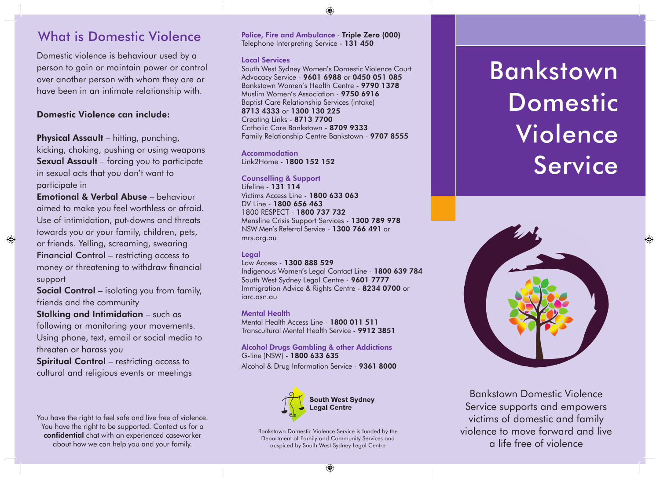# What is Domestic Violence

Domestic violence is behaviour used by a person to gain or maintain power or control over another person with whom they are or have been in an intimate relationship with.

### Domestic Violence can include:

Physical Assault – hitting, punching, kicking, choking, pushing or using weapons Sexual Assault – forcing you to participate in sexual acts that you don't want to participate in

Emotional & Verbal Abuse – behaviour aimed to make you feel worthless or afraid. Use of intimidation, put-downs and threats towards you or your family, children, pets, or friends. Yelling, screaming, swearing Financial Control – restricting access to money or threatening to withdraw financial support

 $\bigcirc$ 

Social Control – isolating you from family, friends and the community

Stalking and Intimidation – such as following or monitoring your movements. Using phone, text, email or social media to threaten or harass you

Spiritual Control – restricting access to cultural and religious events or meetings

You have the right to feel safe and live free of violence. You have the right to be supported. Contact us for a confidential chat with an experienced caseworker about how we can help you and your family.

Police, Fire and Ambulance - Triple Zero (000) Telephone Interpreting Service - 131 450

◈

### Local Services

South West Sydney Women's Domestic Violence Court Advocacy Service - 9601 6988 or 0450 051 085 Bankstown Women's Health Centre - 9790 1378 Muslim Women's Association - 9750 6916 Baptist Care Relationship Services (intake) 8713 4333 or 1300 130 225 Creating Links - 8713 7700 Catholic Care Bankstown - 8709 9333 Family Relationship Centre Bankstown - 9707 8555

Accommodation Link2Home - 1800 152 152

### Counselling & Support

Lifeline - 131 114 Victims Access Line - 1800 633 063 DV Line - 1800 656 463 1800 RESPECT - 1800 737 732 Mensline Crisis Support Services - 1300 789 978 NSW Men's Referral Service - 1300 766 491 or mrs.org.au

### **Legal**

Law Access - 1300 888 529

Indigenous Women's Legal Contact Line - 1800 639 784 South West Sydney Legal Centre - 9601 7777 Immigration Advice & Rights Centre - 8234 0700 or iarc.asn.au

### Mental Health

Mental Health Access Line - 1800 011 511 Transcultural Mental Health Service - 9912 3851

### Alcohol Drugs Gambling & other Addictions G-line (NSW) - 1800 633 635

Alcohol & Drug Information Service - 9361 8000



Bankstown Domestic Violence Service is funded by the Department of Family and Community Services and auspiced by South West Sydney Legal Centre

# Bankstown Domestic Violence Service

◈



Bankstown Domestic Violence Service supports and empowers victims of domestic and family violence to move forward and live a life free of violence

 $\bigoplus$